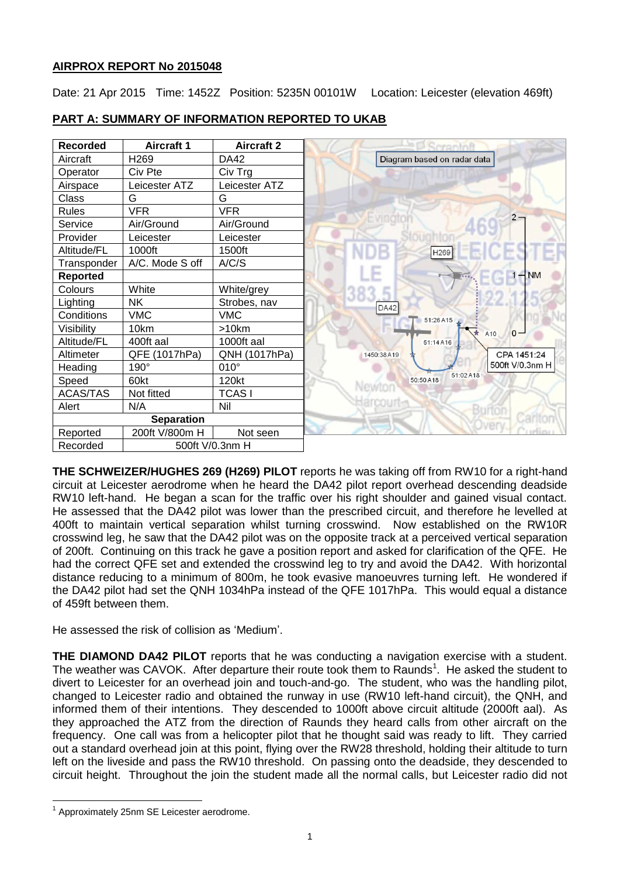## **AIRPROX REPORT No 2015048**

Date: 21 Apr 2015 Time: 1452Z Position: 5235N 00101W Location: Leicester (elevation 469ft)

| <b>Recorded</b> | <b>Aircraft 1</b> | <b>Aircraft 2</b> |            | rrantnfl                    |
|-----------------|-------------------|-------------------|------------|-----------------------------|
| Aircraft        | H <sub>269</sub>  | DA42              |            | Diagram based on radar data |
| Operator        | Civ Pte           | Civ Trg           |            |                             |
| Airspace        | Leicester ATZ     | Leicester ATZ     |            |                             |
| Class           | G                 | G                 |            |                             |
| <b>Rules</b>    | <b>VFR</b>        | <b>VFR</b>        |            |                             |
| Service         | Air/Ground        | Air/Ground        | vingto     |                             |
| Provider        | Leicester         | Leicester         |            |                             |
| Altitude/FL     | 1000ft            | 1500ft            |            | H <sub>269</sub>            |
| Transponder     | A/C. Mode S off   | A/C/S             |            |                             |
| <b>Reported</b> |                   |                   |            |                             |
| Colours         | White             | White/grey        |            |                             |
| Lighting        | <b>NK</b>         | Strobes, nav      | DA42       |                             |
| Conditions      | <b>VMC</b>        | <b>VMC</b>        |            | 51:26 A15                   |
| Visibility      | 10km              | >10km             |            |                             |
| Altitude/FL     | 400ft aal         | 1000ft aal        |            | 51:14 A16                   |
| Altimeter       | QFE (1017hPa)     | QNH (1017hPa)     | 1450:38A19 |                             |
| Heading         | 190°              | $010^\circ$       |            |                             |
| Speed           | 60kt              | 120kt             | Newton     | 51:02 A18<br>50:50 A18      |
| <b>ACAS/TAS</b> | Not fitted        | <b>TCASI</b>      |            |                             |
| Alert           | N/A               | Nil               |            |                             |
|                 | <b>Separation</b> |                   |            |                             |
| Reported        | 200ft V/800m H    | Not seen          |            |                             |
| Recorded        |                   | 500ft V/0.3nm H   |            |                             |

# **PART A: SUMMARY OF INFORMATION REPORTED TO UKAB**

**THE SCHWEIZER/HUGHES 269 (H269) PILOT** reports he was taking off from RW10 for a right-hand circuit at Leicester aerodrome when he heard the DA42 pilot report overhead descending deadside RW10 left-hand. He began a scan for the traffic over his right shoulder and gained visual contact. He assessed that the DA42 pilot was lower than the prescribed circuit, and therefore he levelled at 400ft to maintain vertical separation whilst turning crosswind. Now established on the RW10R crosswind leg, he saw that the DA42 pilot was on the opposite track at a perceived vertical separation of 200ft. Continuing on this track he gave a position report and asked for clarification of the QFE. He had the correct QFE set and extended the crosswind leg to try and avoid the DA42. With horizontal distance reducing to a minimum of 800m, he took evasive manoeuvres turning left. He wondered if the DA42 pilot had set the QNH 1034hPa instead of the QFE 1017hPa. This would equal a distance of 459ft between them.

He assessed the risk of collision as 'Medium'.

**THE DIAMOND DA42 PILOT** reports that he was conducting a navigation exercise with a student. The weather was CAVOK. After departure their route took them to Raunds<sup>1</sup>. He asked the student to divert to Leicester for an overhead join and touch-and-go. The student, who was the handling pilot, changed to Leicester radio and obtained the runway in use (RW10 left-hand circuit), the QNH, and informed them of their intentions. They descended to 1000ft above circuit altitude (2000ft aal). As they approached the ATZ from the direction of Raunds they heard calls from other aircraft on the frequency. One call was from a helicopter pilot that he thought said was ready to lift. They carried out a standard overhead join at this point, flying over the RW28 threshold, holding their altitude to turn left on the liveside and pass the RW10 threshold. On passing onto the deadside, they descended to circuit height. Throughout the join the student made all the normal calls, but Leicester radio did not

 $\overline{a}$ 

<sup>&</sup>lt;sup>1</sup> Approximately 25nm SE Leicester aerodrome.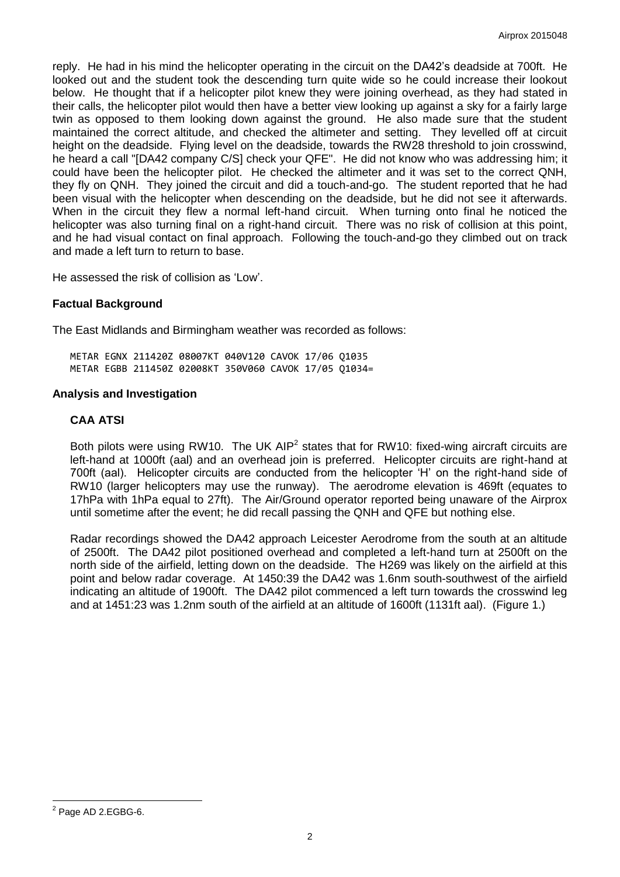reply. He had in his mind the helicopter operating in the circuit on the DA42's deadside at 700ft. He looked out and the student took the descending turn quite wide so he could increase their lookout below. He thought that if a helicopter pilot knew they were joining overhead, as they had stated in their calls, the helicopter pilot would then have a better view looking up against a sky for a fairly large twin as opposed to them looking down against the ground. He also made sure that the student maintained the correct altitude, and checked the altimeter and setting. They levelled off at circuit height on the deadside. Flying level on the deadside, towards the RW28 threshold to join crosswind, he heard a call "[DA42 company C/S] check your QFE". He did not know who was addressing him; it could have been the helicopter pilot. He checked the altimeter and it was set to the correct QNH, they fly on QNH. They joined the circuit and did a touch-and-go. The student reported that he had been visual with the helicopter when descending on the deadside, but he did not see it afterwards. When in the circuit they flew a normal left-hand circuit. When turning onto final he noticed the helicopter was also turning final on a right-hand circuit. There was no risk of collision at this point, and he had visual contact on final approach. Following the touch-and-go they climbed out on track and made a left turn to return to base.

He assessed the risk of collision as 'Low'.

### **Factual Background**

The East Midlands and Birmingham weather was recorded as follows:

METAR EGNX 211420Z 08007KT 040V120 CAVOK 17/06 Q1035 METAR EGBB 211450Z 02008KT 350V060 CAVOK 17/05 Q1034=

#### **Analysis and Investigation**

### **CAA ATSI**

Both pilots were using RW10. The UK AIP<sup>2</sup> states that for RW10: fixed-wing aircraft circuits are left-hand at 1000ft (aal) and an overhead join is preferred. Helicopter circuits are right-hand at 700ft (aal). Helicopter circuits are conducted from the helicopter 'H' on the right-hand side of RW10 (larger helicopters may use the runway). The aerodrome elevation is 469ft (equates to 17hPa with 1hPa equal to 27ft). The Air/Ground operator reported being unaware of the Airprox until sometime after the event; he did recall passing the QNH and QFE but nothing else.

Radar recordings showed the DA42 approach Leicester Aerodrome from the south at an altitude of 2500ft. The DA42 pilot positioned overhead and completed a left-hand turn at 2500ft on the north side of the airfield, letting down on the deadside. The H269 was likely on the airfield at this point and below radar coverage. At 1450:39 the DA42 was 1.6nm south-southwest of the airfield indicating an altitude of 1900ft. The DA42 pilot commenced a left turn towards the crosswind leg and at 1451:23 was 1.2nm south of the airfield at an altitude of 1600ft (1131ft aal). (Figure 1.)

 $\overline{a}$  $2$  Page AD 2.EGBG-6.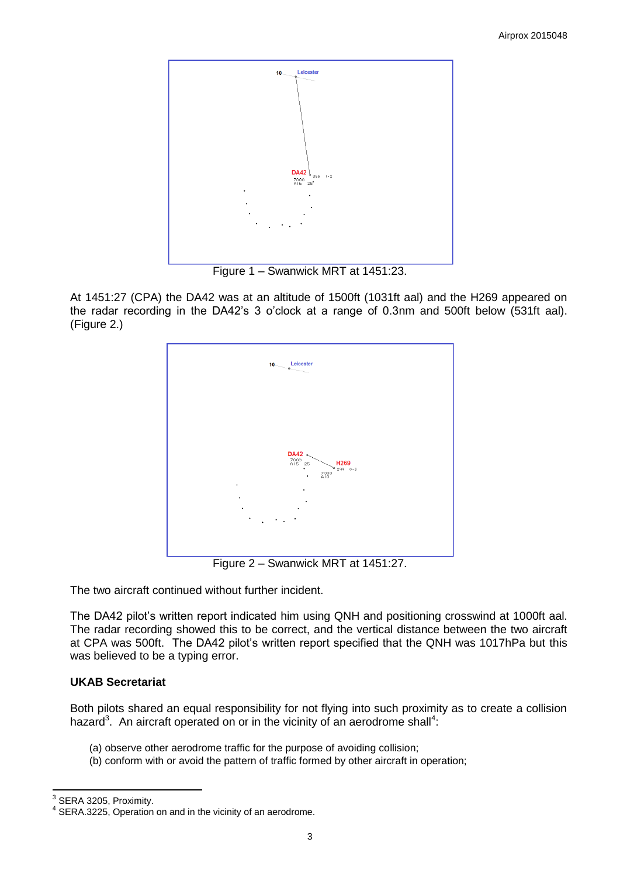

Figure 1 – Swanwick MRT at 1451:23.

At 1451:27 (CPA) the DA42 was at an altitude of 1500ft (1031ft aal) and the H269 appeared on the radar recording in the DA42's 3 o'clock at a range of 0.3nm and 500ft below (531ft aal). (Figure 2.)



Figure 2 – Swanwick MRT at 1451:27.

The two aircraft continued without further incident.

The DA42 pilot's written report indicated him using QNH and positioning crosswind at 1000ft aal. The radar recording showed this to be correct, and the vertical distance between the two aircraft at CPA was 500ft. The DA42 pilot's written report specified that the QNH was 1017hPa but this was believed to be a typing error.

## **UKAB Secretariat**

Both pilots shared an equal responsibility for not flying into such proximity as to create a collision hazard<sup>3</sup>. An aircraft operated on or in the vicinity of an aerodrome shall<sup>4</sup>:

- (a) observe other aerodrome traffic for the purpose of avoiding collision;
- (b) conform with or avoid the pattern of traffic formed by other aircraft in operation;

 3 SERA 3205, Proximity.

<sup>&</sup>lt;sup>4</sup> SERA.3225, Operation on and in the vicinity of an aerodrome.